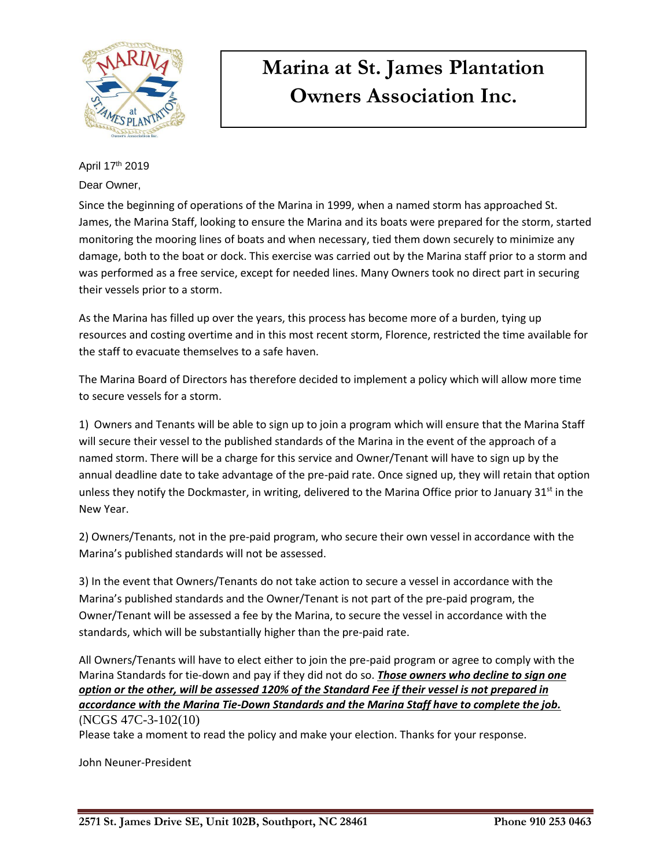

April 17th 2019

Dear Owner,

Since the beginning of operations of the Marina in 1999, when a named storm has approached St. James, the Marina Staff, looking to ensure the Marina and its boats were prepared for the storm, started monitoring the mooring lines of boats and when necessary, tied them down securely to minimize any damage, both to the boat or dock. This exercise was carried out by the Marina staff prior to a storm and was performed as a free service, except for needed lines. Many Owners took no direct part in securing their vessels prior to a storm.

As the Marina has filled up over the years, this process has become more of a burden, tying up resources and costing overtime and in this most recent storm, Florence, restricted the time available for the staff to evacuate themselves to a safe haven.

The Marina Board of Directors has therefore decided to implement a policy which will allow more time to secure vessels for a storm.

1) Owners and Tenants will be able to sign up to join a program which will ensure that the Marina Staff will secure their vessel to the published standards of the Marina in the event of the approach of a named storm. There will be a charge for this service and Owner/Tenant will have to sign up by the annual deadline date to take advantage of the pre-paid rate. Once signed up, they will retain that option unless they notify the Dockmaster, in writing, delivered to the Marina Office prior to January  $31<sup>st</sup>$  in the New Year.

2) Owners/Tenants, not in the pre-paid program, who secure their own vessel in accordance with the Marina's published standards will not be assessed.

3) In the event that Owners/Tenants do not take action to secure a vessel in accordance with the Marina's published standards and the Owner/Tenant is not part of the pre-paid program, the Owner/Tenant will be assessed a fee by the Marina, to secure the vessel in accordance with the standards, which will be substantially higher than the pre-paid rate.

All Owners/Tenants will have to elect either to join the pre-paid program or agree to comply with the Marina Standards for tie-down and pay if they did not do so. *Those owners who decline to sign one option or the other, will be assessed 120% of the Standard Fee if their vessel is not prepared in accordance with the Marina Tie-Down Standards and the Marina Staff have to complete the job.* (NCGS 47C-3-102(10)

Please take a moment to read the policy and make your election. Thanks for your response.

John Neuner-President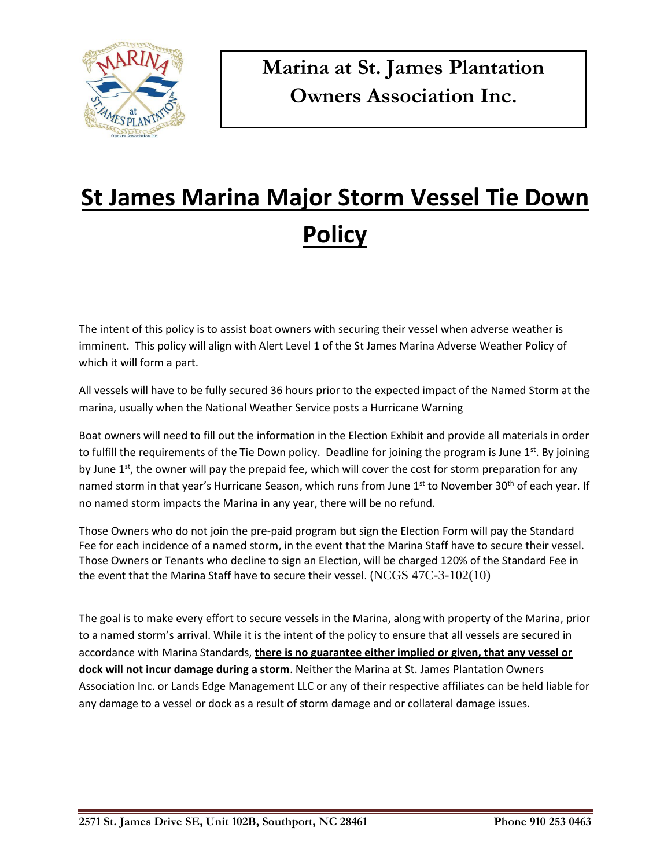

# **St James Marina Major Storm Vessel Tie Down Policy**

The intent of this policy is to assist boat owners with securing their vessel when adverse weather is imminent. This policy will align with Alert Level 1 of the St James Marina Adverse Weather Policy of which it will form a part.

All vessels will have to be fully secured 36 hours prior to the expected impact of the Named Storm at the marina, usually when the National Weather Service posts a Hurricane Warning

Boat owners will need to fill out the information in the Election Exhibit and provide all materials in order to fulfill the requirements of the Tie Down policy. Deadline for joining the program is June  $1^{st}$ . By joining by June 1<sup>st</sup>, the owner will pay the prepaid fee, which will cover the cost for storm preparation for any named storm in that year's Hurricane Season, which runs from June 1<sup>st</sup> to November 30<sup>th</sup> of each year. If no named storm impacts the Marina in any year, there will be no refund.

Those Owners who do not join the pre-paid program but sign the Election Form will pay the Standard Fee for each incidence of a named storm, in the event that the Marina Staff have to secure their vessel. Those Owners or Tenants who decline to sign an Election, will be charged 120% of the Standard Fee in the event that the Marina Staff have to secure their vessel. (NCGS  $47C-3-102(10)$ )

The goal is to make every effort to secure vessels in the Marina, along with property of the Marina, prior to a named storm's arrival. While it is the intent of the policy to ensure that all vessels are secured in accordance with Marina Standards, **there is no guarantee either implied or given, that any vessel or dock will not incur damage during a storm**. Neither the Marina at St. James Plantation Owners Association Inc. or Lands Edge Management LLC or any of their respective affiliates can be held liable for any damage to a vessel or dock as a result of storm damage and or collateral damage issues.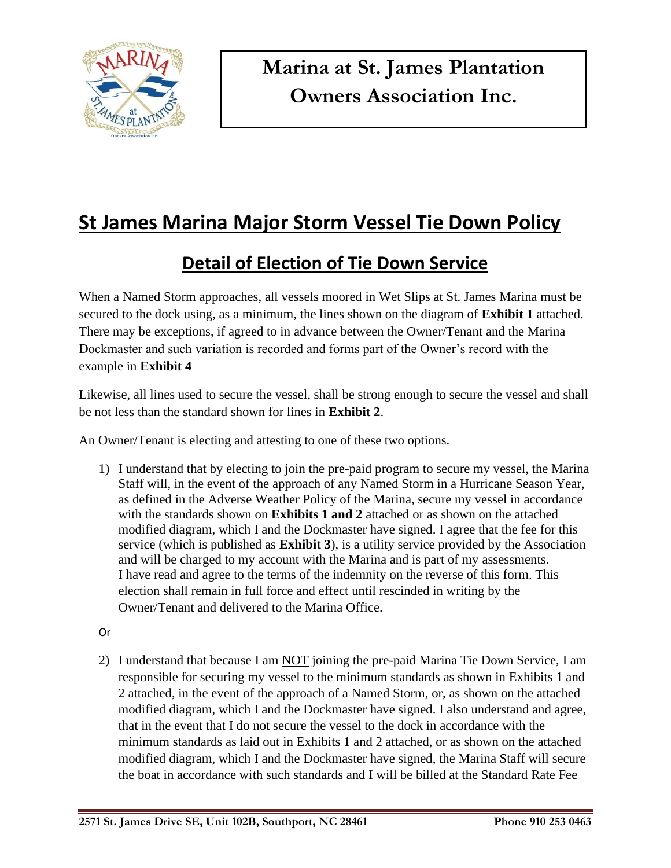

## **St James Marina Major Storm Vessel Tie Down Policy**

### **Detail of Election of Tie Down Service**

When a Named Storm approaches, all vessels moored in Wet Slips at St. James Marina must be secured to the dock using, as a minimum, the lines shown on the diagram of **Exhibit 1** attached. There may be exceptions, if agreed to in advance between the Owner/Tenant and the Marina Dockmaster and such variation is recorded and forms part of the Owner's record with the example in **Exhibit 4**

Likewise, all lines used to secure the vessel, shall be strong enough to secure the vessel and shall be not less than the standard shown for lines in **Exhibit 2**.

An Owner/Tenant is electing and attesting to one of these two options.

- 1) I understand that by electing to join the pre-paid program to secure my vessel, the Marina Staff will, in the event of the approach of any Named Storm in a Hurricane Season Year, as defined in the Adverse Weather Policy of the Marina, secure my vessel in accordance with the standards shown on **Exhibits 1 and 2** attached or as shown on the attached modified diagram, which I and the Dockmaster have signed. I agree that the fee for this service (which is published as **Exhibit 3**), is a utility service provided by the Association and will be charged to my account with the Marina and is part of my assessments. I have read and agree to the terms of the indemnity on the reverse of this form. This election shall remain in full force and effect until rescinded in writing by the Owner/Tenant and delivered to the Marina Office.
- Or
- 2) I understand that because I am NOT joining the pre-paid Marina Tie Down Service, I am responsible for securing my vessel to the minimum standards as shown in Exhibits 1 and 2 attached, in the event of the approach of a Named Storm, or, as shown on the attached modified diagram, which I and the Dockmaster have signed. I also understand and agree, that in the event that I do not secure the vessel to the dock in accordance with the minimum standards as laid out in Exhibits 1 and 2 attached, or as shown on the attached modified diagram, which I and the Dockmaster have signed, the Marina Staff will secure the boat in accordance with such standards and I will be billed at the Standard Rate Fee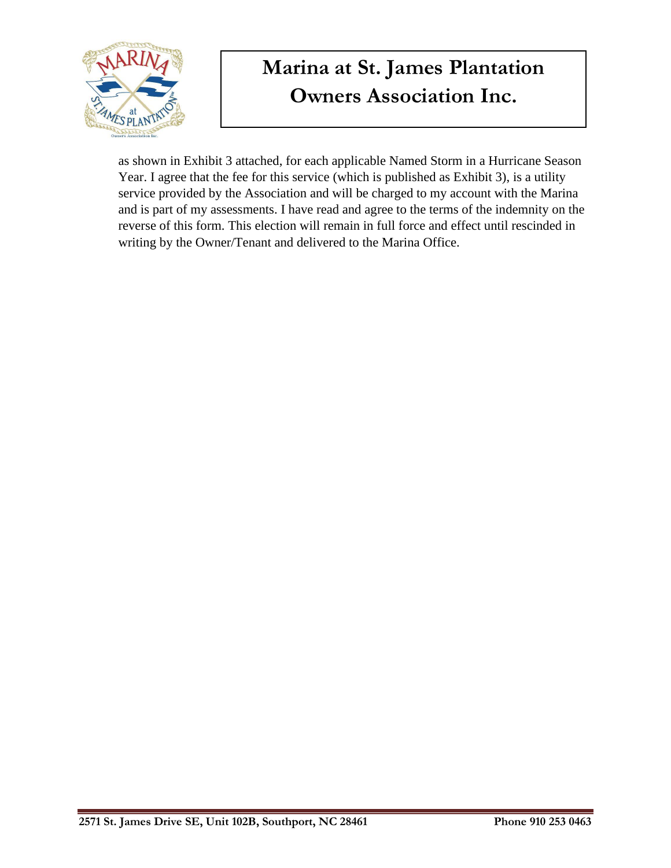

as shown in Exhibit 3 attached, for each applicable Named Storm in a Hurricane Season Year. I agree that the fee for this service (which is published as Exhibit 3), is a utility service provided by the Association and will be charged to my account with the Marina and is part of my assessments. I have read and agree to the terms of the indemnity on the reverse of this form. This election will remain in full force and effect until rescinded in writing by the Owner/Tenant and delivered to the Marina Office.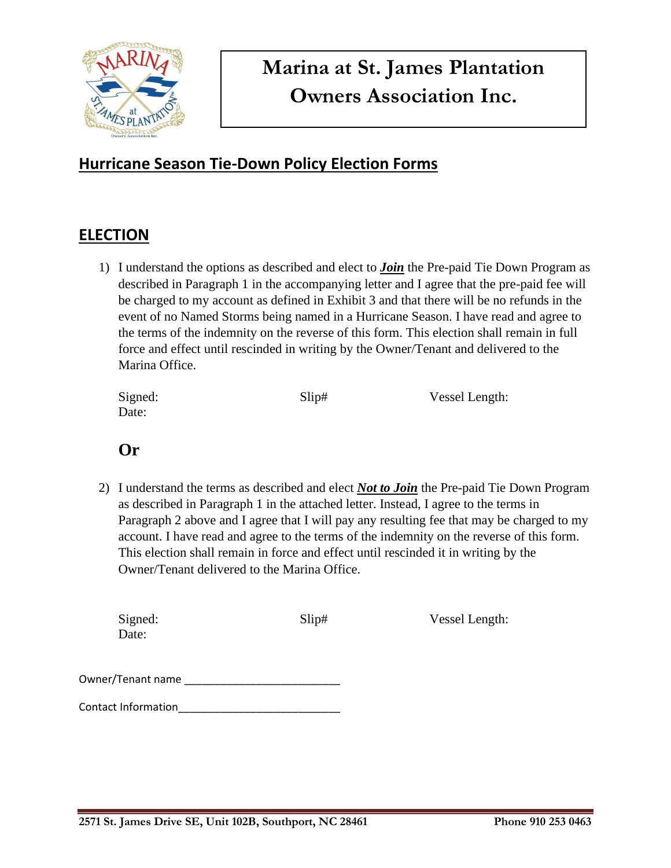

#### **Hurricane Season Tie-Down Policy Election Forms**

#### **ELECTION**

1) I understand the options as described and elect to *Join* the Pre-paid Tie Down Program as described in Paragraph 1 in the accompanying letter and I agree that the pre-paid fee will be charged to my account as defined in Exhibit 3 and that there will be no refunds in the event of no Named Storms being named in a Hurricane Season. I have read and agree to the terms of the indemnity on the reverse of this form. This election shall remain in full force and effect until rescinded in writing by the Owner/Tenant and delivered to the Marina Office.

| Signed: | Slip# | Vessel Length: |
|---------|-------|----------------|
| Date:   |       |                |

#### **Or**

2) I understand the terms as described and elect *Not to Join* the Pre-paid Tie Down Program as described in Paragraph 1 in the attached letter. Instead, I agree to the terms in Paragraph 2 above and I agree that I will pay any resulting fee that may be charged to my account. I have read and agree to the terms of the indemnity on the reverse of this form. This election shall remain in force and effect until rescinded it in writing by the Owner/Tenant delivered to the Marina Office.

| Signed:<br>Date:           | Slip# | Vessel Length: |
|----------------------------|-------|----------------|
| Owner/Tenant name          |       |                |
| <b>Contact Information</b> |       |                |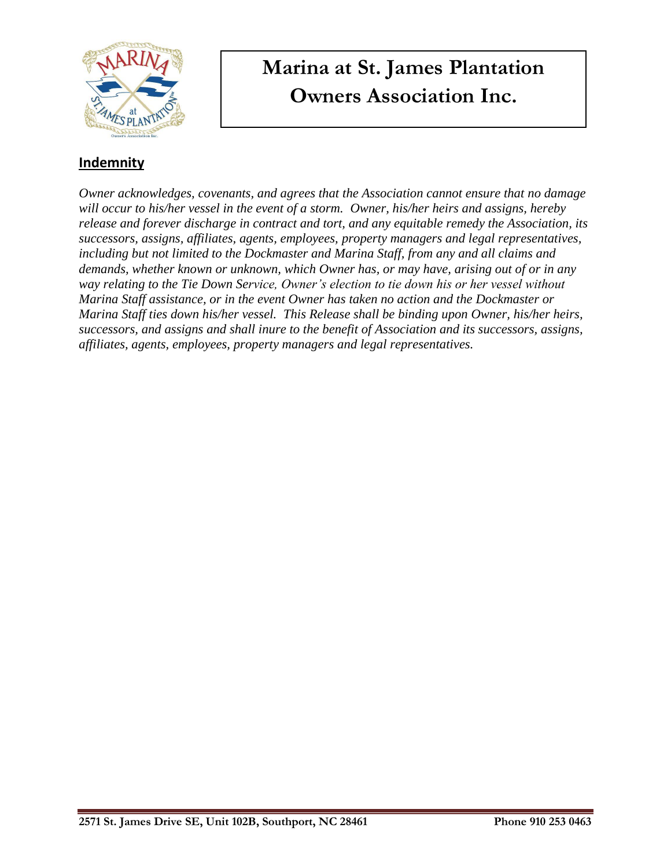

#### **Indemnity**

*Owner acknowledges, covenants, and agrees that the Association cannot ensure that no damage will occur to his/her vessel in the event of a storm. Owner, his/her heirs and assigns, hereby release and forever discharge in contract and tort, and any equitable remedy the Association, its successors, assigns, affiliates, agents, employees, property managers and legal representatives, including but not limited to the Dockmaster and Marina Staff, from any and all claims and demands, whether known or unknown, which Owner has, or may have, arising out of or in any way relating to the Tie Down Service, Owner's election to tie down his or her vessel without Marina Staff assistance, or in the event Owner has taken no action and the Dockmaster or Marina Staff ties down his/her vessel. This Release shall be binding upon Owner, his/her heirs, successors, and assigns and shall inure to the benefit of Association and its successors, assigns, affiliates, agents, employees, property managers and legal representatives.*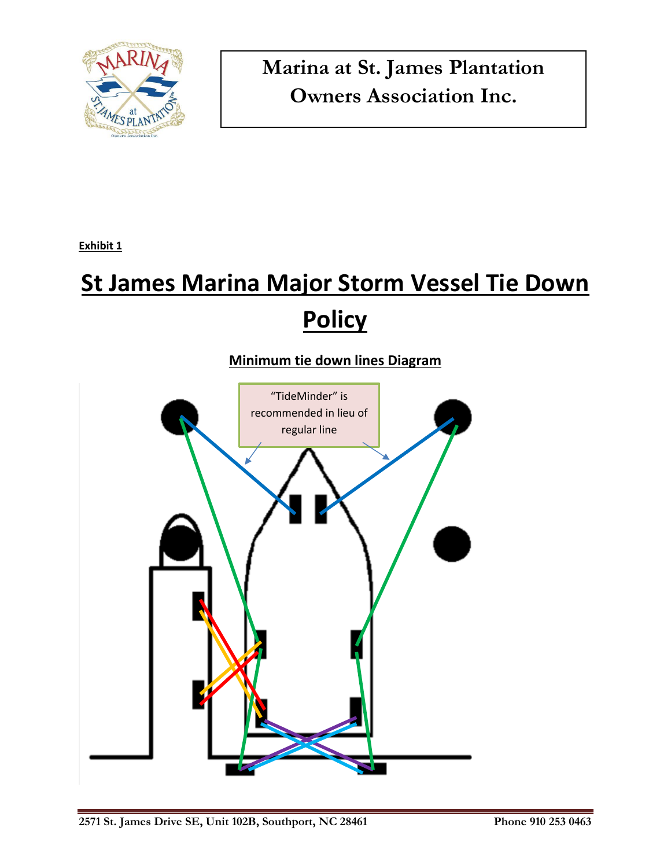

**Exhibit 1**

# **St James Marina Major Storm Vessel Tie Down Policy**

#### **Minimum tie down lines Diagram**

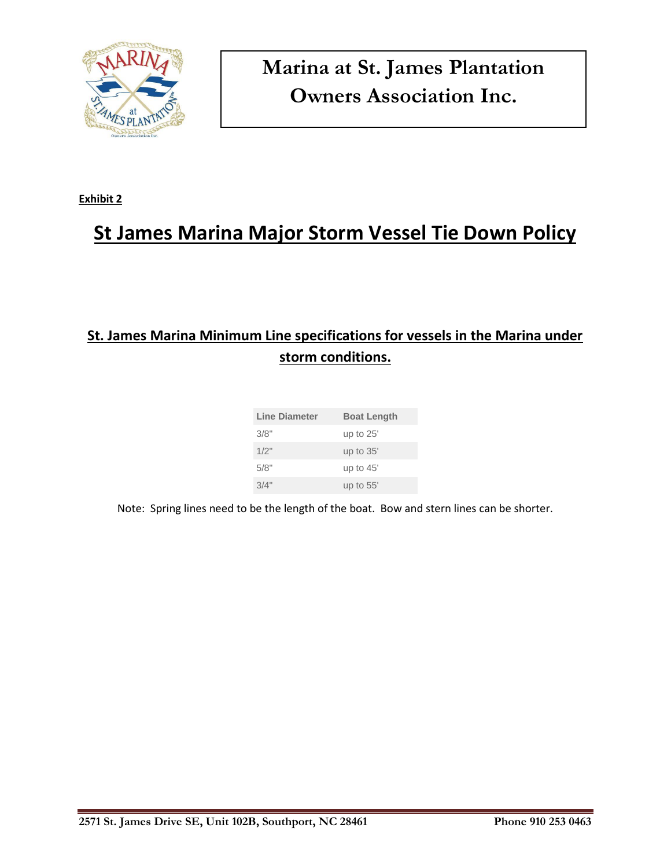

**Exhibit 2**

## **St James Marina Major Storm Vessel Tie Down Policy**

### **St. James Marina Minimum Line specifications for vessels in the Marina under storm conditions.**

| Line Diameter | <b>Boat Length</b> |
|---------------|--------------------|
| 3/8"          | up to $25'$        |
| 1/2"          | up to 35'          |
| 5/8"          | up to $45'$        |
| 3/4"          | up to $55'$        |

Note: Spring lines need to be the length of the boat. Bow and stern lines can be shorter.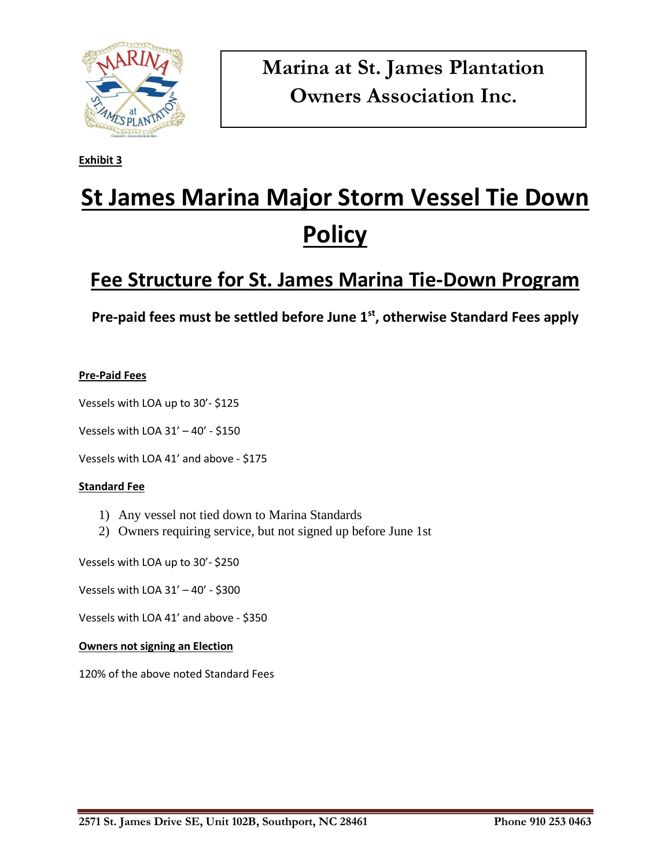

**Exhibit 3**

# **St James Marina Major Storm Vessel Tie Down Policy**

### **Fee Structure for St. James Marina Tie-Down Program**

**Pre-paid fees must be settled before June 1st, otherwise Standard Fees apply**

#### **Pre-Paid Fees**

Vessels with LOA up to 30'- \$125

Vessels with LOA 31' – 40' - \$150

Vessels with LOA 41' and above - \$175

#### **Standard Fee**

- 1) Any vessel not tied down to Marina Standards
- 2) Owners requiring service, but not signed up before June 1st

Vessels with LOA up to 30'- \$250

Vessels with LOA 31' – 40' - \$300

Vessels with LOA 41' and above - \$350

#### **Owners not signing an Election**

120% of the above noted Standard Fees